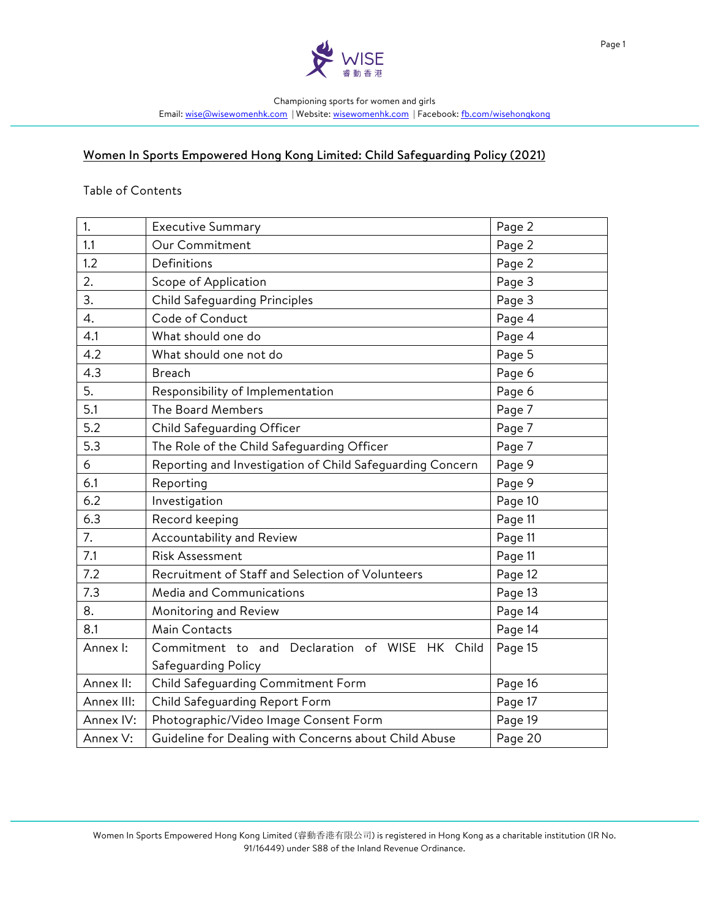

# Women In Sports Empowered Hong Kong Limited: Child Safeguarding Policy (2021)

#### Table of Contents

| 1.         | <b>Executive Summary</b>                                  | Page 2  |
|------------|-----------------------------------------------------------|---------|
| 1.1        | Our Commitment                                            | Page 2  |
| 1.2        | Definitions                                               | Page 2  |
| 2.         | Scope of Application                                      | Page 3  |
| 3.         | <b>Child Safeguarding Principles</b>                      | Page 3  |
| 4.         | Code of Conduct                                           | Page 4  |
| 4.1        | What should one do                                        | Page 4  |
| 4.2        | What should one not do                                    | Page 5  |
| 4.3        | <b>Breach</b>                                             | Page 6  |
| 5.         | Responsibility of Implementation                          | Page 6  |
| 5.1        | The Board Members                                         | Page 7  |
| 5.2        | Child Safeguarding Officer                                | Page 7  |
| 5.3        | The Role of the Child Safeguarding Officer                | Page 7  |
| 6          | Reporting and Investigation of Child Safeguarding Concern | Page 9  |
| 6.1        | Reporting                                                 | Page 9  |
| 6.2        | Investigation                                             | Page 10 |
| 6.3        | Record keeping                                            | Page 11 |
| 7.         | Accountability and Review                                 | Page 11 |
| 7.1        | <b>Risk Assessment</b>                                    | Page 11 |
| 7.2        | Recruitment of Staff and Selection of Volunteers          | Page 12 |
| 7.3        | Media and Communications                                  | Page 13 |
| 8.         | Monitoring and Review                                     | Page 14 |
| 8.1        | Main Contacts                                             | Page 14 |
| Annex I:   | Commitment to and Declaration of WISE HK Child            | Page 15 |
|            | Safeguarding Policy                                       |         |
| Annex II:  | Child Safeguarding Commitment Form                        | Page 16 |
| Annex III: | Child Safeguarding Report Form                            | Page 17 |
| Annex IV:  | Photographic/Video Image Consent Form                     | Page 19 |
| Annex V:   | Guideline for Dealing with Concerns about Child Abuse     | Page 20 |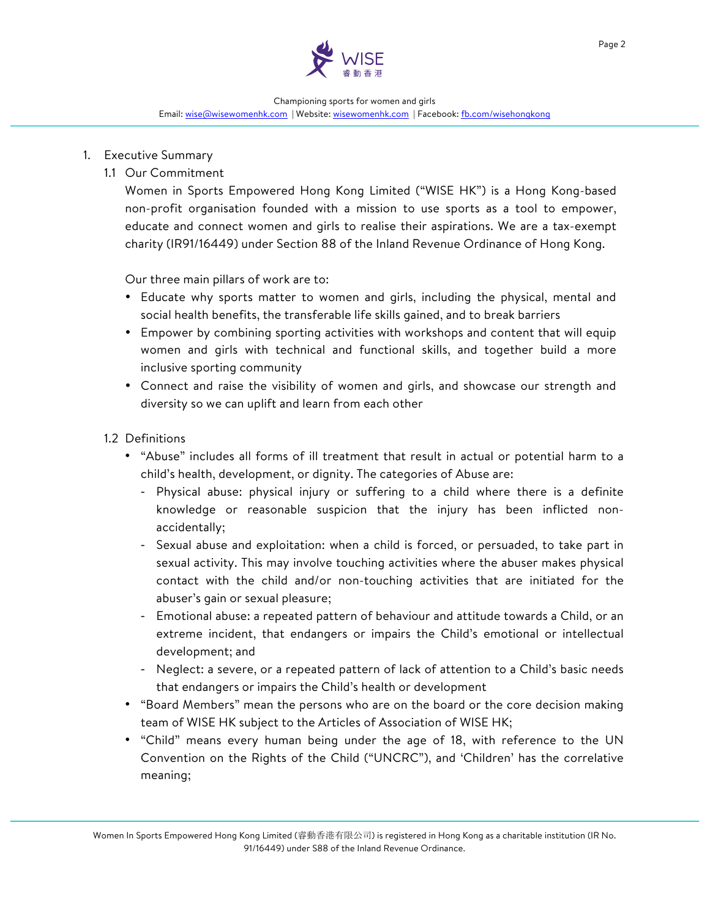

### 1. Executive Summary

1.1 Our Commitment

Women in Sports Empowered Hong Kong Limited ("WISE HK") is a Hong Kong-based non-profit organisation founded with a mission to use sports as a tool to empower, educate and connect women and girls to realise their aspirations. We are a tax-exempt charity (IR91/16449) under Section 88 of the Inland Revenue Ordinance of Hong Kong.

Our three main pillars of work are to:

- Educate why sports matter to women and girls, including the physical, mental and social health benefits, the transferable life skills gained, and to break barriers
- Empower by combining sporting activities with workshops and content that will equip women and girls with technical and functional skills, and together build a more inclusive sporting community
- Connect and raise the visibility of women and girls, and showcase our strength and diversity so we can uplift and learn from each other

### 1.2 Definitions

- "Abuse" includes all forms of ill treatment that result in actual or potential harm to a child's health, development, or dignity. The categories of Abuse are:
	- Physical abuse: physical injury or suffering to a child where there is a definite knowledge or reasonable suspicion that the injury has been inflicted nonaccidentally;
	- Sexual abuse and exploitation: when a child is forced, or persuaded, to take part in sexual activity. This may involve touching activities where the abuser makes physical contact with the child and/or non-touching activities that are initiated for the abuser's gain or sexual pleasure;
	- Emotional abuse: a repeated pattern of behaviour and attitude towards a Child, or an extreme incident, that endangers or impairs the Child's emotional or intellectual development; and
	- Neglect: a severe, or a repeated pattern of lack of attention to a Child's basic needs that endangers or impairs the Child's health or development
- "Board Members" mean the persons who are on the board or the core decision making team of WISE HK subject to the Articles of Association of WISE HK;
- "Child" means every human being under the age of 18, with reference to the UN Convention on the Rights of the Child ("UNCRC"), and 'Children' has the correlative meaning;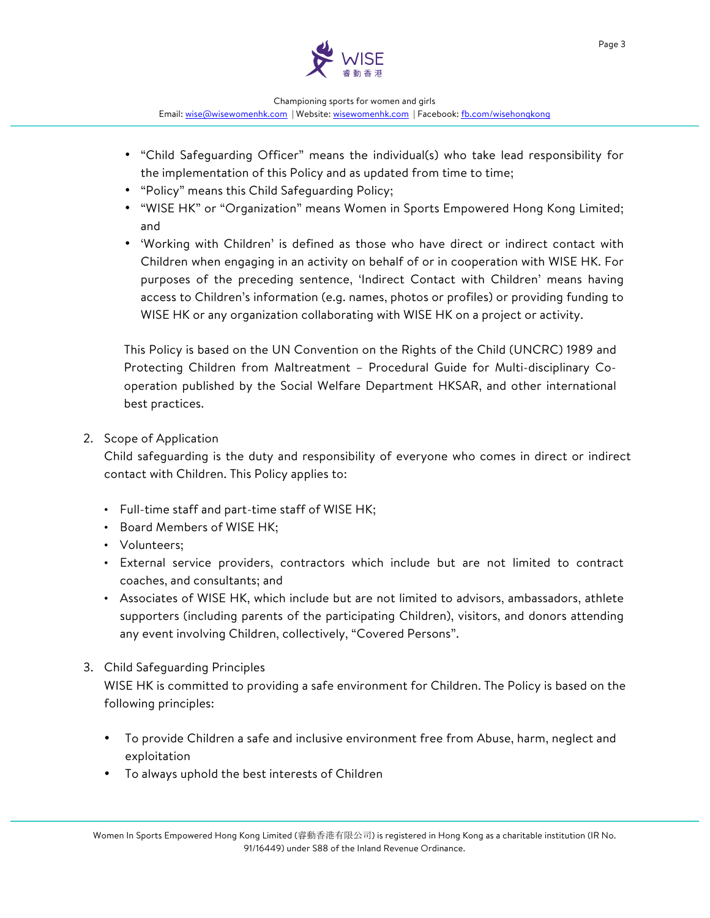

- "Child Safeguarding Officer" means the individual(s) who take lead responsibility for the implementation of this Policy and as updated from time to time;
- "Policy" means this Child Safeguarding Policy;
- "WISE HK" or "Organization" means Women in Sports Empowered Hong Kong Limited; and
- 'Working with Children' is defined as those who have direct or indirect contact with Children when engaging in an activity on behalf of or in cooperation with WISE HK. For purposes of the preceding sentence, 'Indirect Contact with Children' means having access to Children's information (e.g. names, photos or profiles) or providing funding to WISE HK or any organization collaborating with WISE HK on a project or activity.

This Policy is based on the UN Convention on the Rights of the Child (UNCRC) 1989 and Protecting Children from Maltreatment – Procedural Guide for Multi-disciplinary Cooperation published by the Social Welfare Department HKSAR, and other international best practices.

2. Scope of Application

Child safeguarding is the duty and responsibility of everyone who comes in direct or indirect contact with Children. This Policy applies to:

- Full-time staff and part-time staff of WISE HK;
- Board Members of WISE HK;
- Volunteers;
- External service providers, contractors which include but are not limited to contract coaches, and consultants; and
- Associates of WISE HK, which include but are not limited to advisors, ambassadors, athlete supporters (including parents of the participating Children), visitors, and donors attending any event involving Children, collectively, "Covered Persons".
- 3. Child Safeguarding Principles

WISE HK is committed to providing a safe environment for Children. The Policy is based on the following principles:

- To provide Children a safe and inclusive environment free from Abuse, harm, neglect and exploitation
- To always uphold the best interests of Children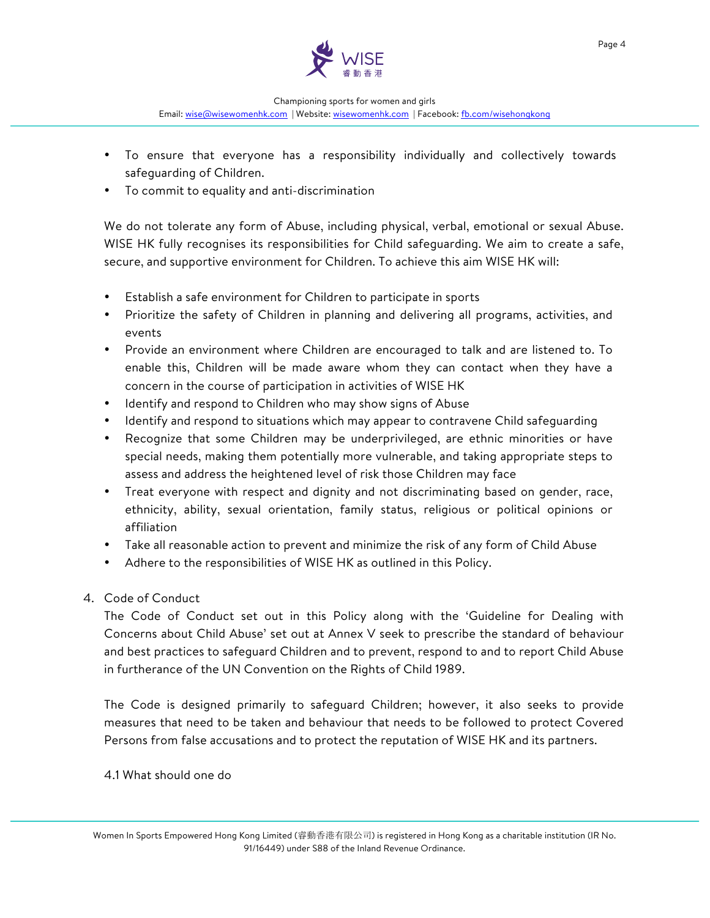

- To ensure that everyone has a responsibility individually and collectively towards safeguarding of Children.
- To commit to equality and anti-discrimination

We do not tolerate any form of Abuse, including physical, verbal, emotional or sexual Abuse. WISE HK fully recognises its responsibilities for Child safeguarding. We aim to create a safe, secure, and supportive environment for Children. To achieve this aim WISE HK will:

- Establish a safe environment for Children to participate in sports
- Prioritize the safety of Children in planning and delivering all programs, activities, and events
- Provide an environment where Children are encouraged to talk and are listened to. To enable this, Children will be made aware whom they can contact when they have a concern in the course of participation in activities of WISE HK
- Identify and respond to Children who may show signs of Abuse
- Identify and respond to situations which may appear to contravene Child safeguarding
- Recognize that some Children may be underprivileged, are ethnic minorities or have special needs, making them potentially more vulnerable, and taking appropriate steps to assess and address the heightened level of risk those Children may face
- Treat everyone with respect and dignity and not discriminating based on gender, race, ethnicity, ability, sexual orientation, family status, religious or political opinions or affiliation
- Take all reasonable action to prevent and minimize the risk of any form of Child Abuse
- Adhere to the responsibilities of WISE HK as outlined in this Policy.
- 4. Code of Conduct

The Code of Conduct set out in this Policy along with the 'Guideline for Dealing with Concerns about Child Abuse' set out at Annex V seek to prescribe the standard of behaviour and best practices to safeguard Children and to prevent, respond to and to report Child Abuse in furtherance of the UN Convention on the Rights of Child 1989.

The Code is designed primarily to safeguard Children; however, it also seeks to provide measures that need to be taken and behaviour that needs to be followed to protect Covered Persons from false accusations and to protect the reputation of WISE HK and its partners.

4.1 What should one do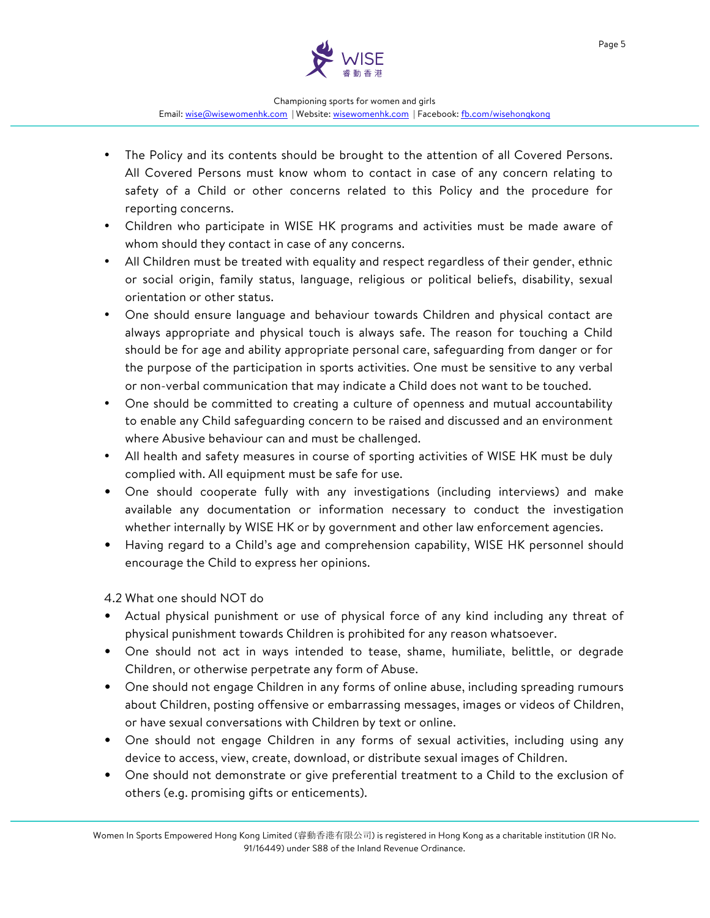

- The Policy and its contents should be brought to the attention of all Covered Persons. All Covered Persons must know whom to contact in case of any concern relating to safety of a Child or other concerns related to this Policy and the procedure for reporting concerns.
- Children who participate in WISE HK programs and activities must be made aware of whom should they contact in case of any concerns.
- All Children must be treated with equality and respect regardless of their gender, ethnic or social origin, family status, language, religious or political beliefs, disability, sexual orientation or other status.
- One should ensure language and behaviour towards Children and physical contact are always appropriate and physical touch is always safe. The reason for touching a Child should be for age and ability appropriate personal care, safeguarding from danger or for the purpose of the participation in sports activities. One must be sensitive to any verbal or non-verbal communication that may indicate a Child does not want to be touched.
- One should be committed to creating a culture of openness and mutual accountability to enable any Child safeguarding concern to be raised and discussed and an environment where Abusive behaviour can and must be challenged.
- All health and safety measures in course of sporting activities of WISE HK must be duly complied with. All equipment must be safe for use.
- One should cooperate fully with any investigations (including interviews) and make available any documentation or information necessary to conduct the investigation whether internally by WISE HK or by government and other law enforcement agencies.
- Having regard to a Child's age and comprehension capability, WISE HK personnel should encourage the Child to express her opinions.

4.2 What one should NOT do

- Actual physical punishment or use of physical force of any kind including any threat of physical punishment towards Children is prohibited for any reason whatsoever.
- One should not act in ways intended to tease, shame, humiliate, belittle, or degrade Children, or otherwise perpetrate any form of Abuse.
- One should not engage Children in any forms of online abuse, including spreading rumours about Children, posting offensive or embarrassing messages, images or videos of Children, or have sexual conversations with Children by text or online.
- One should not engage Children in any forms of sexual activities, including using any device to access, view, create, download, or distribute sexual images of Children.
- One should not demonstrate or give preferential treatment to a Child to the exclusion of others (e.g. promising gifts or enticements).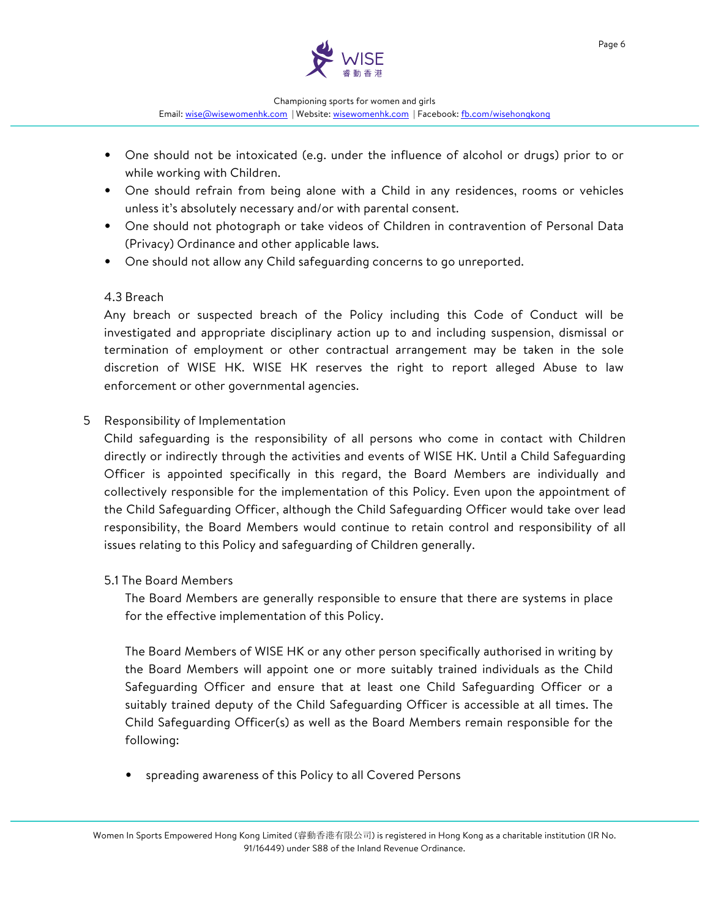

- One should not be intoxicated (e.g. under the influence of alcohol or drugs) prior to or while working with Children.
- One should refrain from being alone with a Child in any residences, rooms or vehicles unless it's absolutely necessary and/or with parental consent.
- One should not photograph or take videos of Children in contravention of Personal Data (Privacy) Ordinance and other applicable laws.
- One should not allow any Child safeguarding concerns to go unreported.

### 4.3 Breach

Any breach or suspected breach of the Policy including this Code of Conduct will be investigated and appropriate disciplinary action up to and including suspension, dismissal or termination of employment or other contractual arrangement may be taken in the sole discretion of WISE HK. WISE HK reserves the right to report alleged Abuse to law enforcement or other governmental agencies.

### 5 Responsibility of Implementation

Child safeguarding is the responsibility of all persons who come in contact with Children directly or indirectly through the activities and events of WISE HK. Until a Child Safeguarding Officer is appointed specifically in this regard, the Board Members are individually and collectively responsible for the implementation of this Policy. Even upon the appointment of the Child Safeguarding Officer, although the Child Safeguarding Officer would take over lead responsibility, the Board Members would continue to retain control and responsibility of all issues relating to this Policy and safeguarding of Children generally.

### 5.1 The Board Members

The Board Members are generally responsible to ensure that there are systems in place for the effective implementation of this Policy.

The Board Members of WISE HK or any other person specifically authorised in writing by the Board Members will appoint one or more suitably trained individuals as the Child Safeguarding Officer and ensure that at least one Child Safeguarding Officer or a suitably trained deputy of the Child Safeguarding Officer is accessible at all times. The Child Safeguarding Officer(s) as well as the Board Members remain responsible for the following:

• spreading awareness of this Policy to all Covered Persons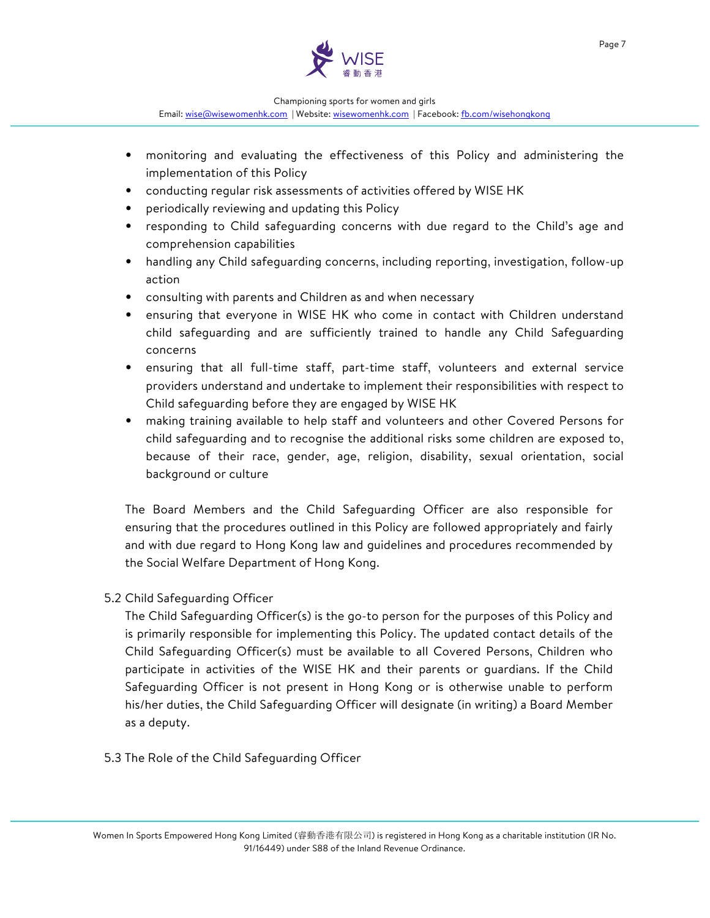

- monitoring and evaluating the effectiveness of this Policy and administering the implementation of this Policy
- conducting regular risk assessments of activities offered by WISE HK
- periodically reviewing and updating this Policy
- responding to Child safeguarding concerns with due regard to the Child's age and comprehension capabilities
- handling any Child safeguarding concerns, including reporting, investigation, follow-up action
- consulting with parents and Children as and when necessary
- ensuring that everyone in WISE HK who come in contact with Children understand child safeguarding and are sufficiently trained to handle any Child Safeguarding concerns
- ensuring that all full-time staff, part-time staff, volunteers and external service providers understand and undertake to implement their responsibilities with respect to Child safeguarding before they are engaged by WISE HK
- making training available to help staff and volunteers and other Covered Persons for child safeguarding and to recognise the additional risks some children are exposed to, because of their race, gender, age, religion, disability, sexual orientation, social background or culture

The Board Members and the Child Safeguarding Officer are also responsible for ensuring that the procedures outlined in this Policy are followed appropriately and fairly and with due regard to Hong Kong law and guidelines and procedures recommended by the Social Welfare Department of Hong Kong.

### 5.2 Child Safeguarding Officer

The Child Safeguarding Officer(s) is the go-to person for the purposes of this Policy and is primarily responsible for implementing this Policy. The updated contact details of the Child Safeguarding Officer(s) must be available to all Covered Persons, Children who participate in activities of the WISE HK and their parents or guardians. If the Child Safeguarding Officer is not present in Hong Kong or is otherwise unable to perform his/her duties, the Child Safeguarding Officer will designate (in writing) a Board Member as a deputy.

5.3 The Role of the Child Safeguarding Officer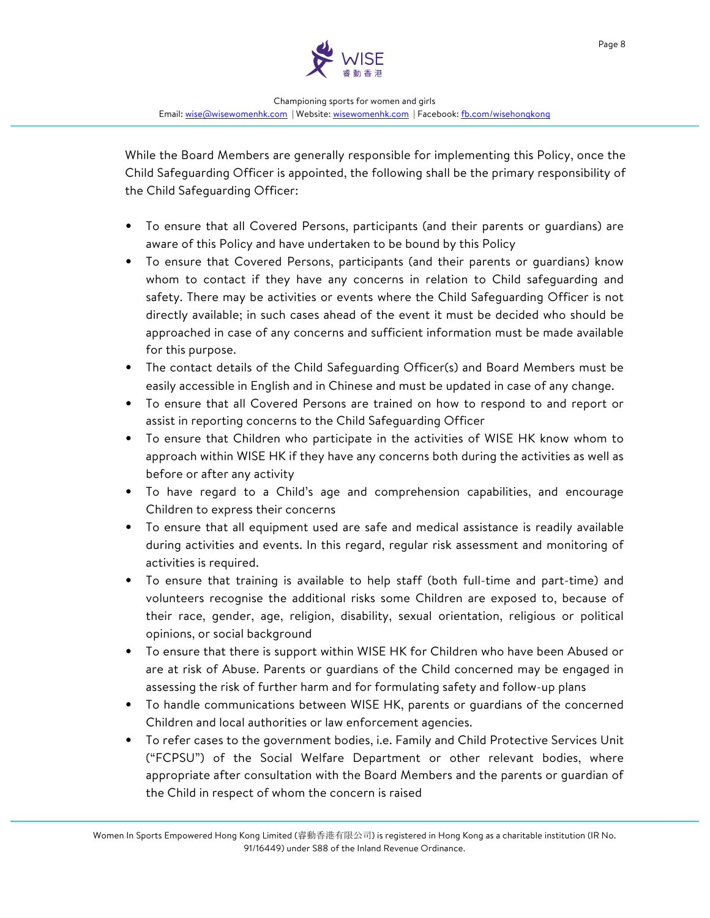

While the Board Members are generally responsible for implementing this Policy, once the Child Safeguarding Officer is appointed, the following shall be the primary responsibility of the Child Safeguarding Officer:

- To ensure that all Covered Persons, participants (and their parents or guardians) are aware of this Policy and have undertaken to be bound by this Policy
- To ensure that Covered Persons, participants (and their parents or guardians) know whom to contact if they have any concerns in relation to Child safeguarding and safety. There may be activities or events where the Child Safeguarding Officer is not directly available; in such cases ahead of the event it must be decided who should be approached in case of any concerns and sufficient information must be made available for this purpose.
- The contact details of the Child Safeguarding Officer(s) and Board Members must be easily accessible in English and in Chinese and must be updated in case of any change.
- To ensure that all Covered Persons are trained on how to respond to and report or assist in reporting concerns to the Child Safeguarding Officer
- To ensure that Children who participate in the activities of WISE HK know whom to approach within WISE HK if they have any concerns both during the activities as well as before or after any activity
- To have regard to a Child's age and comprehension capabilities, and encourage Children to express their concerns
- To ensure that all equipment used are safe and medical assistance is readily available during activities and events. In this regard, regular risk assessment and monitoring of activities is required.
- To ensure that training is available to help staff (both full-time and part-time) and volunteers recognise the additional risks some Children are exposed to, because of their race, gender, age, religion, disability, sexual orientation, religious or political opinions, or social background
- To ensure that there is support within WISE HK for Children who have been Abused or are at risk of Abuse. Parents or guardians of the Child concerned may be engaged in assessing the risk of further harm and for formulating safety and follow-up plans
- To handle communications between WISE HK, parents or guardians of the concerned Children and local authorities or law enforcement agencies.
- To refer cases to the government bodies, i.e. Family and Child Protective Services Unit ("FCPSU") of the Social Welfare Department or other relevant bodies, where appropriate after consultation with the Board Members and the parents or guardian of the Child in respect of whom the concern is raised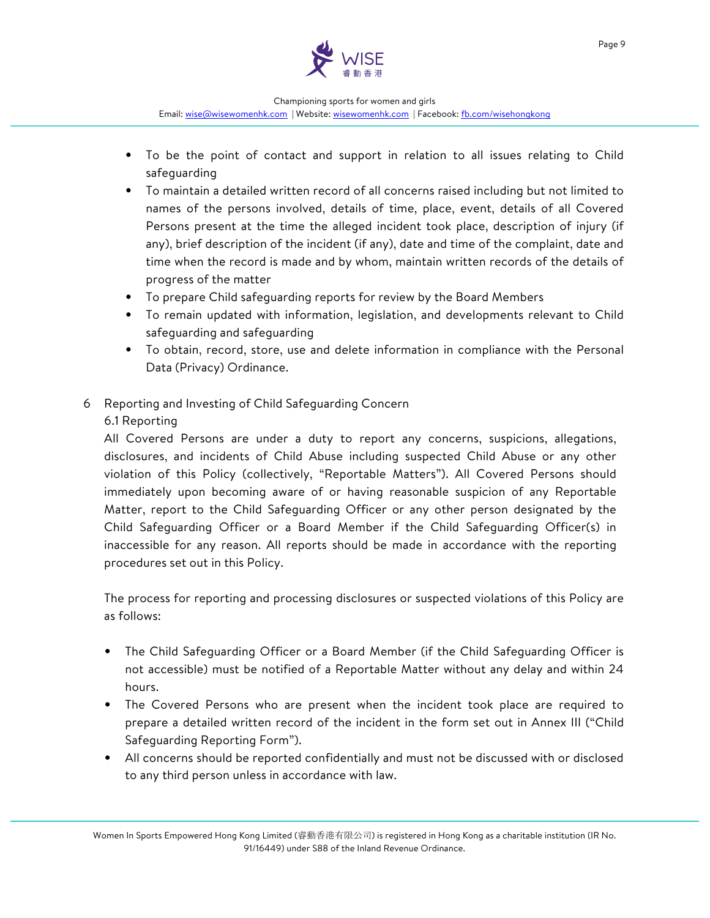

- To be the point of contact and support in relation to all issues relating to Child safeguarding
- To maintain a detailed written record of all concerns raised including but not limited to names of the persons involved, details of time, place, event, details of all Covered Persons present at the time the alleged incident took place, description of injury (if any), brief description of the incident (if any), date and time of the complaint, date and time when the record is made and by whom, maintain written records of the details of progress of the matter
- To prepare Child safeguarding reports for review by the Board Members
- To remain updated with information, legislation, and developments relevant to Child safeguarding and safeguarding
- To obtain, record, store, use and delete information in compliance with the Personal Data (Privacy) Ordinance.
- 6 Reporting and Investing of Child Safeguarding Concern

# 6.1 Reporting

All Covered Persons are under a duty to report any concerns, suspicions, allegations, disclosures, and incidents of Child Abuse including suspected Child Abuse or any other violation of this Policy (collectively, "Reportable Matters"). All Covered Persons should immediately upon becoming aware of or having reasonable suspicion of any Reportable Matter, report to the Child Safeguarding Officer or any other person designated by the Child Safeguarding Officer or a Board Member if the Child Safeguarding Officer(s) in inaccessible for any reason. All reports should be made in accordance with the reporting procedures set out in this Policy.

The process for reporting and processing disclosures or suspected violations of this Policy are as follows:

- The Child Safeguarding Officer or a Board Member (if the Child Safeguarding Officer is not accessible) must be notified of a Reportable Matter without any delay and within 24 hours.
- The Covered Persons who are present when the incident took place are required to prepare a detailed written record of the incident in the form set out in Annex III ("Child Safeguarding Reporting Form").
- All concerns should be reported confidentially and must not be discussed with or disclosed to any third person unless in accordance with law.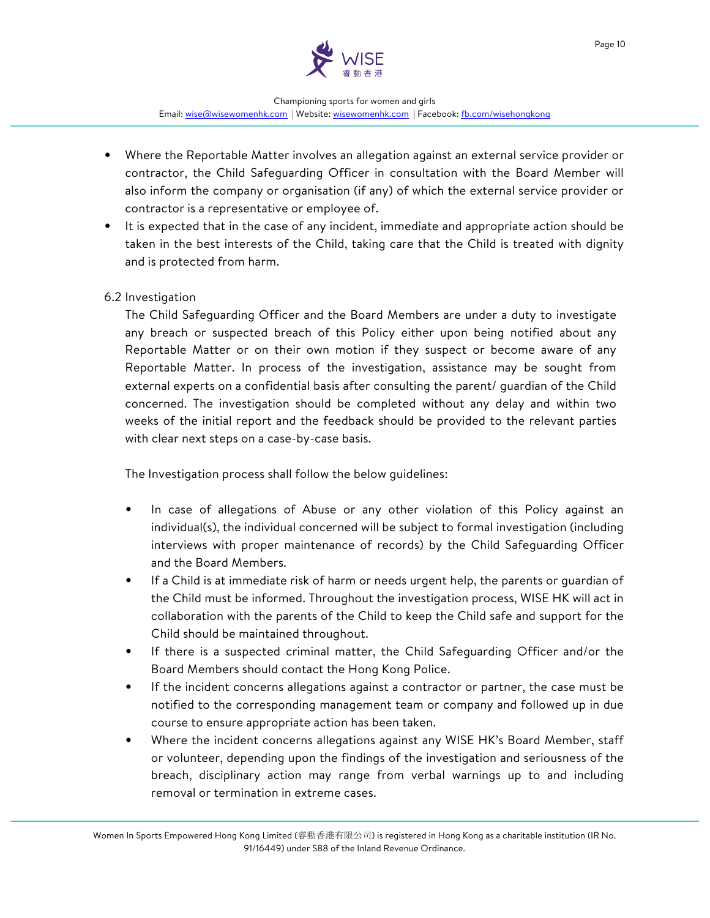

- Where the Reportable Matter involves an allegation against an external service provider or contractor, the Child Safeguarding Officer in consultation with the Board Member will also inform the company or organisation (if any) of which the external service provider or contractor is a representative or employee of.
- It is expected that in the case of any incident, immediate and appropriate action should be taken in the best interests of the Child, taking care that the Child is treated with dignity and is protected from harm.

### 6.2 Investigation

The Child Safeguarding Officer and the Board Members are under a duty to investigate any breach or suspected breach of this Policy either upon being notified about any Reportable Matter or on their own motion if they suspect or become aware of any Reportable Matter. In process of the investigation, assistance may be sought from external experts on a confidential basis after consulting the parent/ guardian of the Child concerned. The investigation should be completed without any delay and within two weeks of the initial report and the feedback should be provided to the relevant parties with clear next steps on a case-by-case basis.

The Investigation process shall follow the below guidelines:

- In case of allegations of Abuse or any other violation of this Policy against an individual(s), the individual concerned will be subject to formal investigation (including interviews with proper maintenance of records) by the Child Safeguarding Officer and the Board Members.
- If a Child is at immediate risk of harm or needs urgent help, the parents or guardian of the Child must be informed. Throughout the investigation process, WISE HK will act in collaboration with the parents of the Child to keep the Child safe and support for the Child should be maintained throughout.
- If there is a suspected criminal matter, the Child Safeguarding Officer and/or the Board Members should contact the Hong Kong Police.
- If the incident concerns allegations against a contractor or partner, the case must be notified to the corresponding management team or company and followed up in due course to ensure appropriate action has been taken.
- Where the incident concerns allegations against any WISE HK's Board Member, staff or volunteer, depending upon the findings of the investigation and seriousness of the breach, disciplinary action may range from verbal warnings up to and including removal or termination in extreme cases.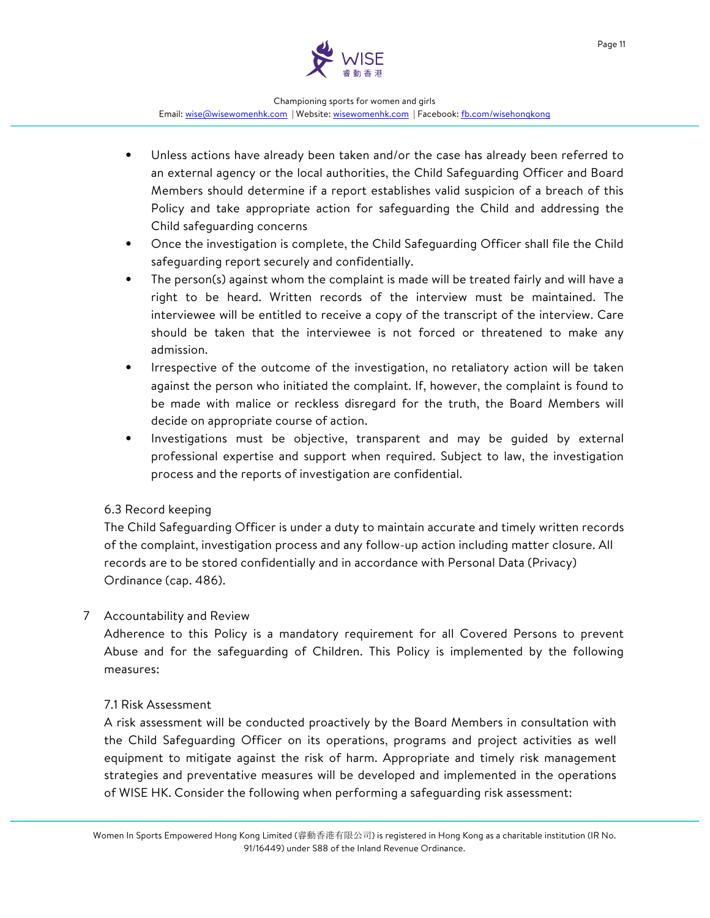

- Unless actions have already been taken and/or the case has already been referred to an external agency or the local authorities, the Child Safeguarding Officer and Board Members should determine if a report establishes valid suspicion of a breach of this Policy and take appropriate action for safeguarding the Child and addressing the Child safeguarding concerns
- Once the investigation is complete, the Child Safeguarding Officer shall file the Child safeguarding report securely and confidentially.
- The person(s) against whom the complaint is made will be treated fairly and will have a right to be heard. Written records of the interview must be maintained. The interviewee will be entitled to receive a copy of the transcript of the interview. Care should be taken that the interviewee is not forced or threatened to make any admission.
- Irrespective of the outcome of the investigation, no retaliatory action will be taken against the person who initiated the complaint. If, however, the complaint is found to be made with malice or reckless disregard for the truth, the Board Members will decide on appropriate course of action.
- Investigations must be objective, transparent and may be guided by external professional expertise and support when required. Subject to law, the investigation process and the reports of investigation are confidential.

### 6.3 Record keeping

The Child Safeguarding Officer is under a duty to maintain accurate and timely written records of the complaint, investigation process and any follow-up action including matter closure. All records are to be stored confidentially and in accordance with Personal Data (Privacy) Ordinance (cap. 486).

### 7 Accountability and Review

Adherence to this Policy is a mandatory requirement for all Covered Persons to prevent Abuse and for the safeguarding of Children. This Policy is implemented by the following measures:

### 7.1 Risk Assessment

A risk assessment will be conducted proactively by the Board Members in consultation with the Child Safeguarding Officer on its operations, programs and project activities as well equipment to mitigate against the risk of harm. Appropriate and timely risk management strategies and preventative measures will be developed and implemented in the operations of WISE HK. Consider the following when performing a safeguarding risk assessment: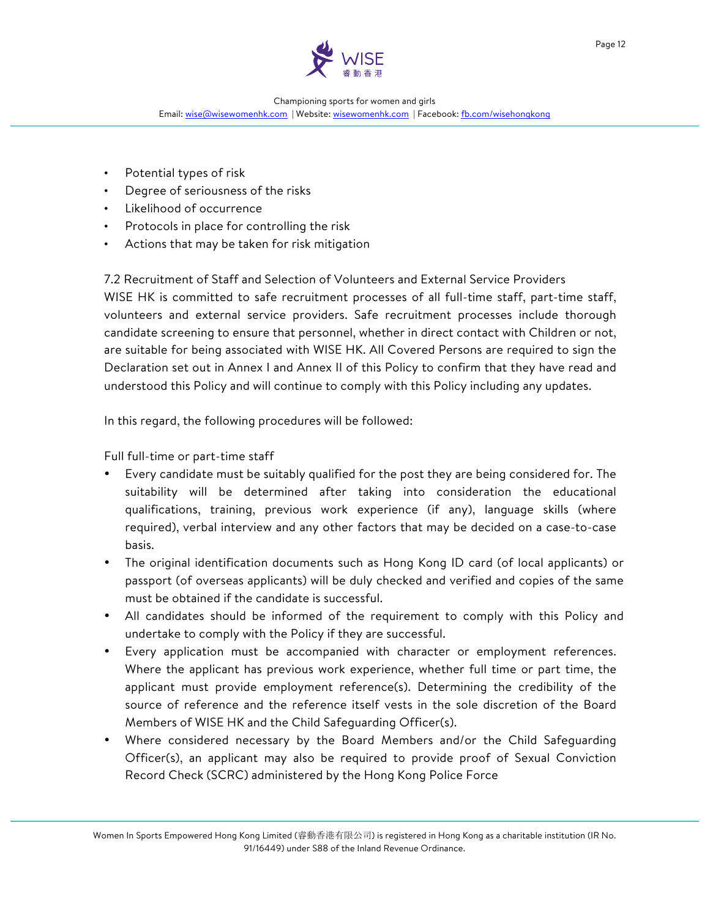

- Potential types of risk
- Degree of seriousness of the risks
- Likelihood of occurrence
- Protocols in place for controlling the risk
- Actions that may be taken for risk mitigation

7.2 Recruitment of Staff and Selection of Volunteers and External Service Providers WISE HK is committed to safe recruitment processes of all full-time staff, part-time staff, volunteers and external service providers. Safe recruitment processes include thorough candidate screening to ensure that personnel, whether in direct contact with Children or not, are suitable for being associated with WISE HK. All Covered Persons are required to sign the Declaration set out in Annex I and Annex II of this Policy to confirm that they have read and understood this Policy and will continue to comply with this Policy including any updates.

In this regard, the following procedures will be followed:

Full full-time or part-time staff

- Every candidate must be suitably qualified for the post they are being considered for. The suitability will be determined after taking into consideration the educational qualifications, training, previous work experience (if any), language skills (where required), verbal interview and any other factors that may be decided on a case-to-case basis.
- The original identification documents such as Hong Kong ID card (of local applicants) or passport (of overseas applicants) will be duly checked and verified and copies of the same must be obtained if the candidate is successful.
- All candidates should be informed of the requirement to comply with this Policy and undertake to comply with the Policy if they are successful.
- Every application must be accompanied with character or employment references. Where the applicant has previous work experience, whether full time or part time, the applicant must provide employment reference(s). Determining the credibility of the source of reference and the reference itself vests in the sole discretion of the Board Members of WISE HK and the Child Safeguarding Officer(s).
- Where considered necessary by the Board Members and/or the Child Safeguarding Officer(s), an applicant may also be required to provide proof of Sexual Conviction Record Check (SCRC) administered by the Hong Kong Police Force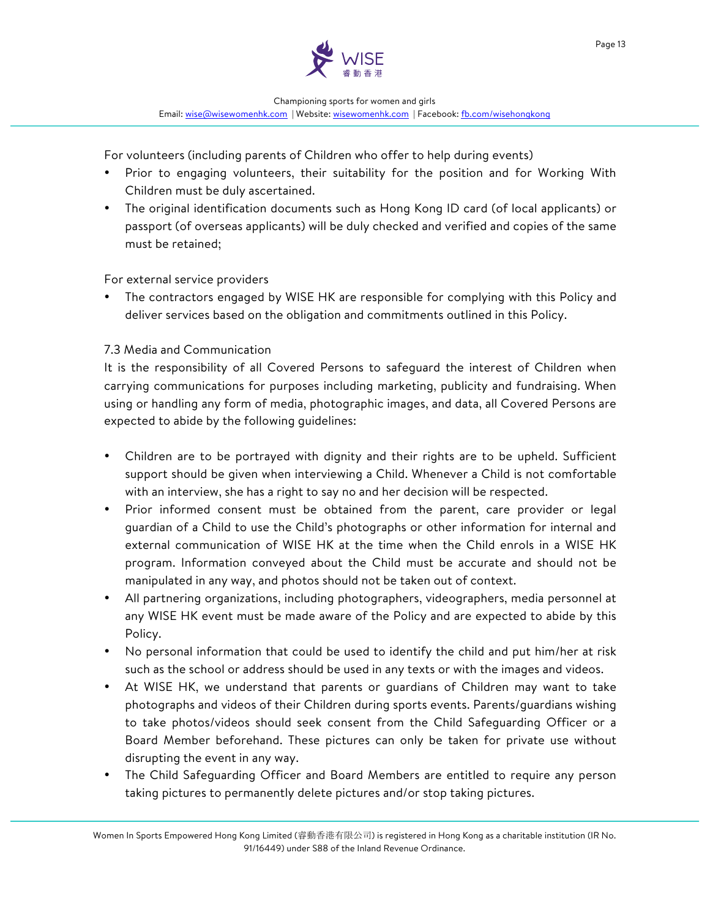

For volunteers (including parents of Children who offer to help during events)

- Prior to engaging volunteers, their suitability for the position and for Working With Children must be duly ascertained.
- The original identification documents such as Hong Kong ID card (of local applicants) or passport (of overseas applicants) will be duly checked and verified and copies of the same must be retained;

For external service providers

The contractors engaged by WISE HK are responsible for complying with this Policy and deliver services based on the obligation and commitments outlined in this Policy.

# 7.3 Media and Communication

It is the responsibility of all Covered Persons to safeguard the interest of Children when carrying communications for purposes including marketing, publicity and fundraising. When using or handling any form of media, photographic images, and data, all Covered Persons are expected to abide by the following guidelines:

- Children are to be portrayed with dignity and their rights are to be upheld. Sufficient support should be given when interviewing a Child. Whenever a Child is not comfortable with an interview, she has a right to say no and her decision will be respected.
- Prior informed consent must be obtained from the parent, care provider or legal guardian of a Child to use the Child's photographs or other information for internal and external communication of WISE HK at the time when the Child enrols in a WISE HK program. Information conveyed about the Child must be accurate and should not be manipulated in any way, and photos should not be taken out of context.
- All partnering organizations, including photographers, videographers, media personnel at any WISE HK event must be made aware of the Policy and are expected to abide by this Policy.
- No personal information that could be used to identify the child and put him/her at risk such as the school or address should be used in any texts or with the images and videos.
- At WISE HK, we understand that parents or guardians of Children may want to take photographs and videos of their Children during sports events. Parents/guardians wishing to take photos/videos should seek consent from the Child Safeguarding Officer or a Board Member beforehand. These pictures can only be taken for private use without disrupting the event in any way.
- The Child Safeguarding Officer and Board Members are entitled to require any person taking pictures to permanently delete pictures and/or stop taking pictures.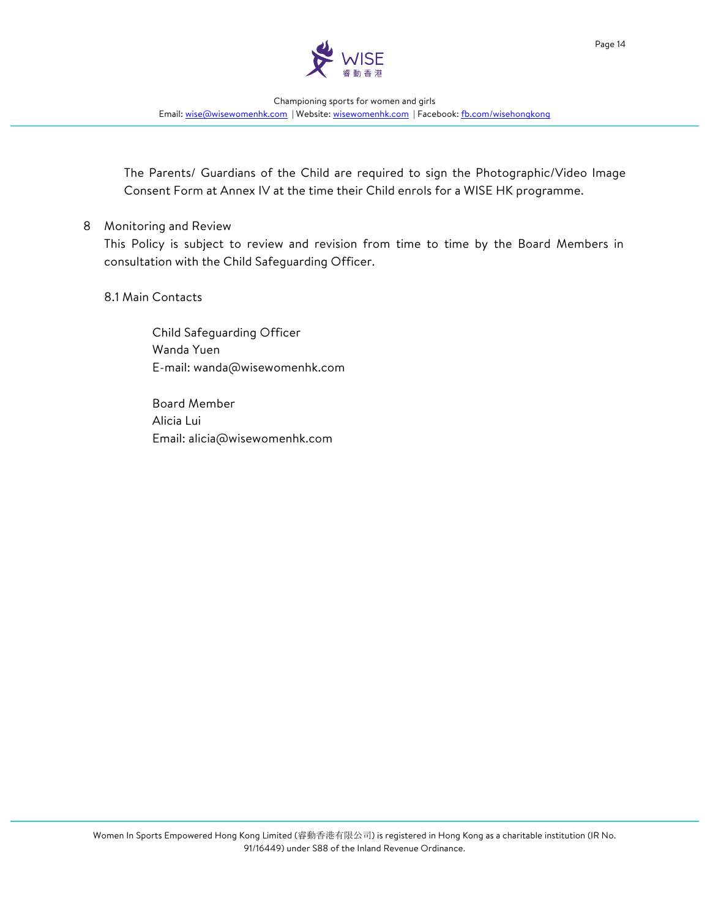

The Parents/ Guardians of the Child are required to sign the Photographic/Video Image Consent Form at Annex IV at the time their Child enrols for a WISE HK programme.

#### 8 Monitoring and Review

This Policy is subject to review and revision from time to time by the Board Members in consultation with the Child Safeguarding Officer.

#### 8.1 Main Contacts

Child Safeguarding Officer Wanda Yuen E-mail: wanda@wisewomenhk.com

Board Member Alicia Lui Email: alicia@wisewomenhk.com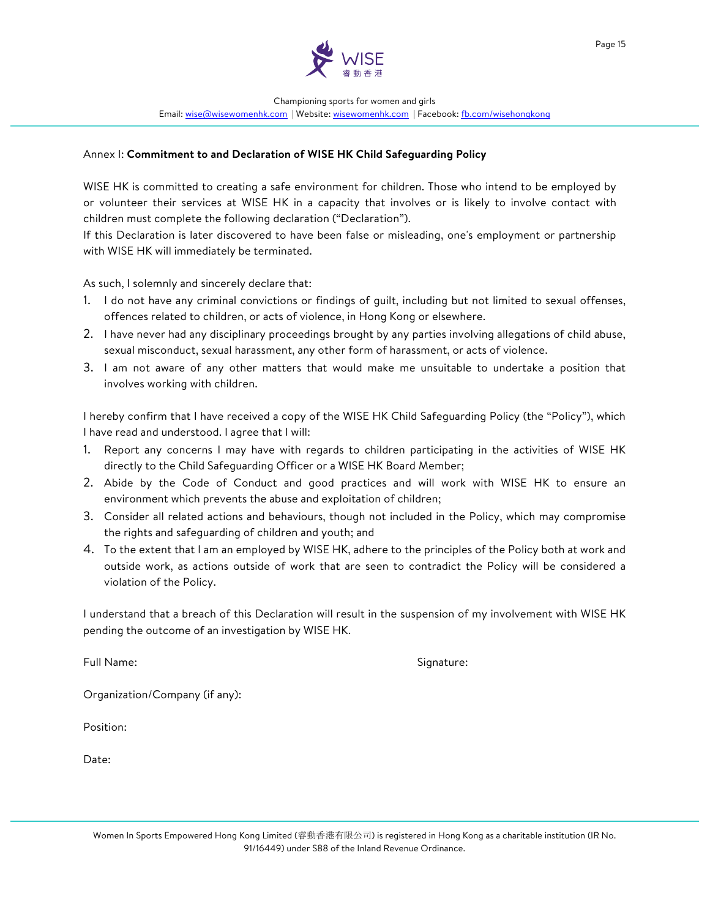

#### Annex I: **Commitment to and Declaration of WISE HK Child Safeguarding Policy**

WISE HK is committed to creating a safe environment for children. Those who intend to be employed by or volunteer their services at WISE HK in a capacity that involves or is likely to involve contact with children must complete the following declaration ("Declaration").

If this Declaration is later discovered to have been false or misleading, one's employment or partnership with WISE HK will immediately be terminated.

As such, I solemnly and sincerely declare that:

- 1. I do not have any criminal convictions or findings of guilt, including but not limited to sexual offenses, offences related to children, or acts of violence, in Hong Kong or elsewhere.
- 2. I have never had any disciplinary proceedings brought by any parties involving allegations of child abuse, sexual misconduct, sexual harassment, any other form of harassment, or acts of violence.
- 3. I am not aware of any other matters that would make me unsuitable to undertake a position that involves working with children.

I hereby confirm that I have received a copy of the WISE HK Child Safeguarding Policy (the "Policy"), which I have read and understood. I agree that I will:

- 1. Report any concerns I may have with regards to children participating in the activities of WISE HK directly to the Child Safeguarding Officer or a WISE HK Board Member;
- 2. Abide by the Code of Conduct and good practices and will work with WISE HK to ensure an environment which prevents the abuse and exploitation of children;
- 3. Consider all related actions and behaviours, though not included in the Policy, which may compromise the rights and safeguarding of children and youth; and
- 4. To the extent that I am an employed by WISE HK, adhere to the principles of the Policy both at work and outside work, as actions outside of work that are seen to contradict the Policy will be considered a violation of the Policy.

I understand that a breach of this Declaration will result in the suspension of my involvement with WISE HK pending the outcome of an investigation by WISE HK.

Full Name: Signature:

Organization/Company (if any):

Position:

Date: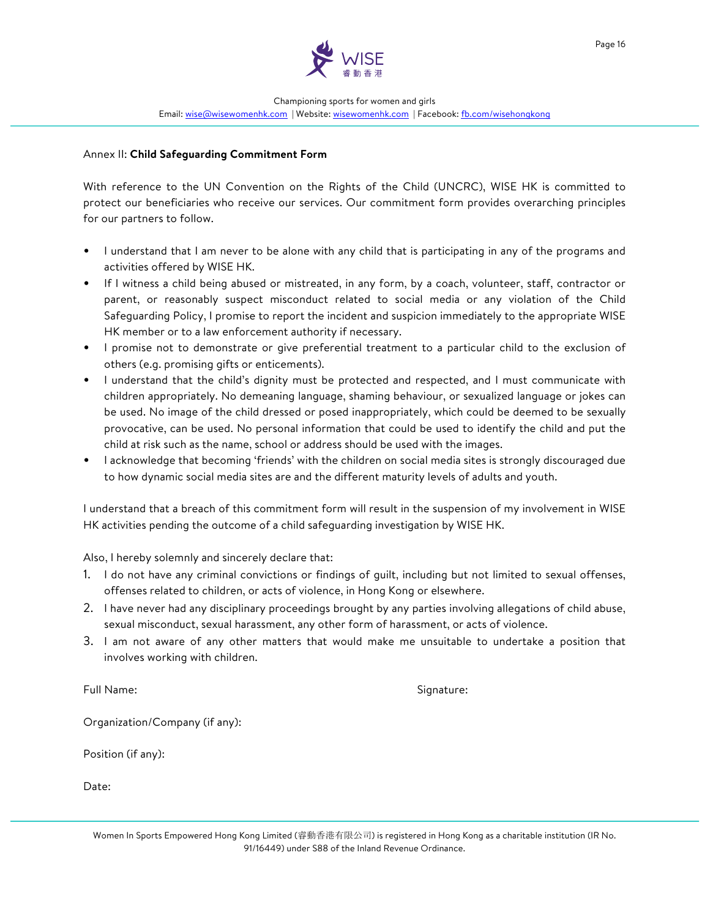

#### Annex II: **Child Safeguarding Commitment Form**

With reference to the UN Convention on the Rights of the Child (UNCRC), WISE HK is committed to protect our beneficiaries who receive our services. Our commitment form provides overarching principles for our partners to follow.

- I understand that I am never to be alone with any child that is participating in any of the programs and activities offered by WISE HK.
- If I witness a child being abused or mistreated, in any form, by a coach, volunteer, staff, contractor or parent, or reasonably suspect misconduct related to social media or any violation of the Child Safeguarding Policy, I promise to report the incident and suspicion immediately to the appropriate WISE HK member or to a law enforcement authority if necessary.
- I promise not to demonstrate or give preferential treatment to a particular child to the exclusion of others (e.g. promising gifts or enticements).
- I understand that the child's dignity must be protected and respected, and I must communicate with children appropriately. No demeaning language, shaming behaviour, or sexualized language or jokes can be used. No image of the child dressed or posed inappropriately, which could be deemed to be sexually provocative, can be used. No personal information that could be used to identify the child and put the child at risk such as the name, school or address should be used with the images.
- I acknowledge that becoming 'friends' with the children on social media sites is strongly discouraged due to how dynamic social media sites are and the different maturity levels of adults and youth.

I understand that a breach of this commitment form will result in the suspension of my involvement in WISE HK activities pending the outcome of a child safeguarding investigation by WISE HK.

Also, I hereby solemnly and sincerely declare that:

- 1. I do not have any criminal convictions or findings of guilt, including but not limited to sexual offenses, offenses related to children, or acts of violence, in Hong Kong or elsewhere.
- 2. I have never had any disciplinary proceedings brought by any parties involving allegations of child abuse, sexual misconduct, sexual harassment, any other form of harassment, or acts of violence.
- 3. I am not aware of any other matters that would make me unsuitable to undertake a position that involves working with children.

Full Name: Signature:

Organization/Company (if any):

Position (if any):

Date: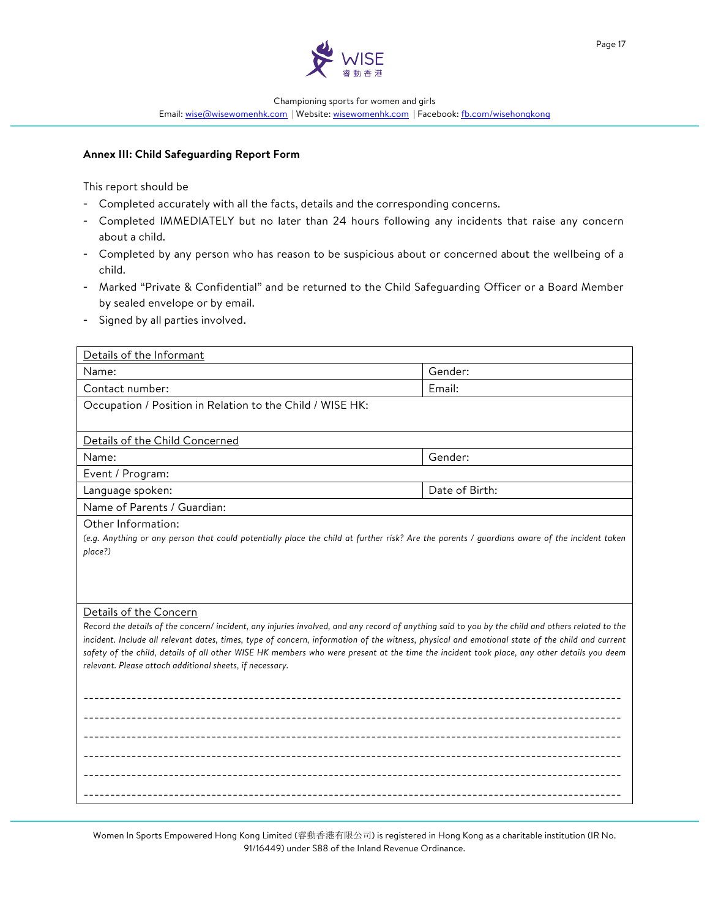

Page 17

Championing sports for women and girls

Email: wise@wisewomenhk.com | Website: wisewomenhk.com | Facebook: fb.com/wisehongkong

#### **Annex III: Child Safeguarding Report Form**

This report should be

- Completed accurately with all the facts, details and the corresponding concerns.
- Completed IMMEDIATELY but no later than 24 hours following any incidents that raise any concern about a child.
- Completed by any person who has reason to be suspicious about or concerned about the wellbeing of a child.
- Marked "Private & Confidential" and be returned to the Child Safeguarding Officer or a Board Member by sealed envelope or by email.
- Signed by all parties involved.

| Details of the Informant                                                                                                                                                                                                                                                                      |                |  |  |
|-----------------------------------------------------------------------------------------------------------------------------------------------------------------------------------------------------------------------------------------------------------------------------------------------|----------------|--|--|
| Name:                                                                                                                                                                                                                                                                                         | Gender:        |  |  |
| Contact number:                                                                                                                                                                                                                                                                               | Email:         |  |  |
| Occupation / Position in Relation to the Child / WISE HK:                                                                                                                                                                                                                                     |                |  |  |
|                                                                                                                                                                                                                                                                                               |                |  |  |
| Details of the Child Concerned                                                                                                                                                                                                                                                                |                |  |  |
| Name:                                                                                                                                                                                                                                                                                         | Gender:        |  |  |
| Event / Program:                                                                                                                                                                                                                                                                              |                |  |  |
| Language spoken:                                                                                                                                                                                                                                                                              | Date of Birth: |  |  |
| Name of Parents / Guardian:                                                                                                                                                                                                                                                                   |                |  |  |
| Other Information:<br>(e.g. Anything or any person that could potentially place the child at further risk? Are the parents / guardians aware of the incident taken<br>place?)                                                                                                                 |                |  |  |
|                                                                                                                                                                                                                                                                                               |                |  |  |
|                                                                                                                                                                                                                                                                                               |                |  |  |
| Details of the Concern                                                                                                                                                                                                                                                                        |                |  |  |
| Record the details of the concern/incident, any injuries involved, and any record of anything said to you by the child and others related to the                                                                                                                                              |                |  |  |
| incident. Include all relevant dates, times, type of concern, information of the witness, physical and emotional state of the child and current<br>safety of the child, details of all other WISE HK members who were present at the time the incident took place, any other details you deem |                |  |  |
| relevant. Please attach additional sheets, if necessary.                                                                                                                                                                                                                                      |                |  |  |
|                                                                                                                                                                                                                                                                                               |                |  |  |
|                                                                                                                                                                                                                                                                                               |                |  |  |
|                                                                                                                                                                                                                                                                                               |                |  |  |
|                                                                                                                                                                                                                                                                                               |                |  |  |
|                                                                                                                                                                                                                                                                                               |                |  |  |
|                                                                                                                                                                                                                                                                                               |                |  |  |
|                                                                                                                                                                                                                                                                                               |                |  |  |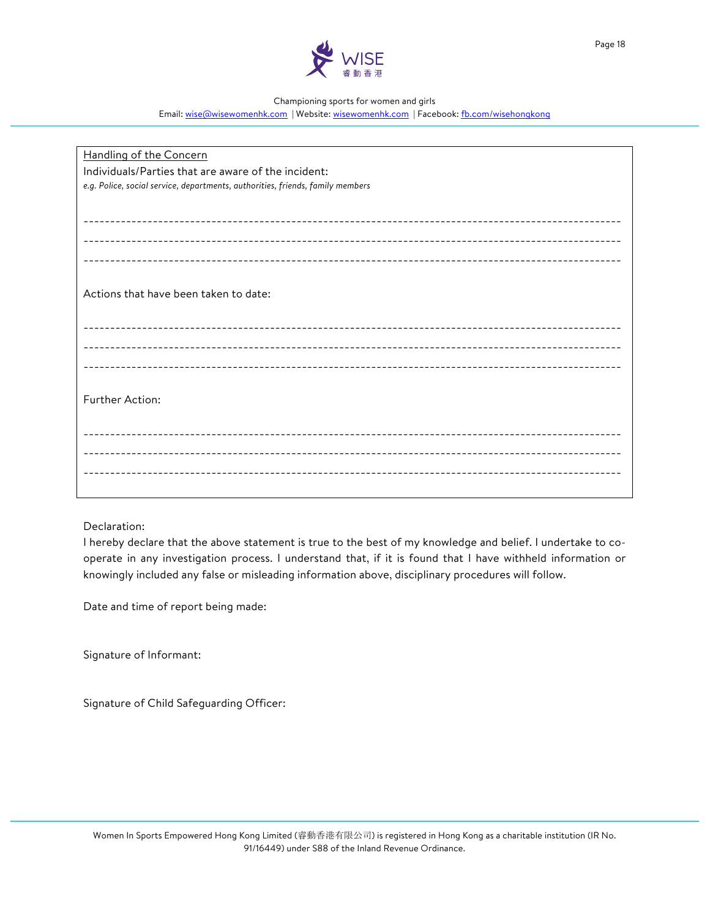

Page 18

#### Championing sports for women and girls

Email: wise@wisewomenhk.com | Website: wisewomenhk.com | Facebook: fb.com/wisehongkong

| Handling of the Concern                                                        |  |  |
|--------------------------------------------------------------------------------|--|--|
| Individuals/Parties that are aware of the incident:                            |  |  |
| e.g. Police, social service, departments, authorities, friends, family members |  |  |
|                                                                                |  |  |
|                                                                                |  |  |
|                                                                                |  |  |
|                                                                                |  |  |
|                                                                                |  |  |
|                                                                                |  |  |
| Actions that have been taken to date:                                          |  |  |
|                                                                                |  |  |
|                                                                                |  |  |
|                                                                                |  |  |
|                                                                                |  |  |
|                                                                                |  |  |
|                                                                                |  |  |
| Further Action:                                                                |  |  |
|                                                                                |  |  |
|                                                                                |  |  |
|                                                                                |  |  |
|                                                                                |  |  |
|                                                                                |  |  |
|                                                                                |  |  |

Declaration:

I hereby declare that the above statement is true to the best of my knowledge and belief. I undertake to cooperate in any investigation process. I understand that, if it is found that I have withheld information or knowingly included any false or misleading information above, disciplinary procedures will follow.

Date and time of report being made:

Signature of Informant:

Signature of Child Safeguarding Officer: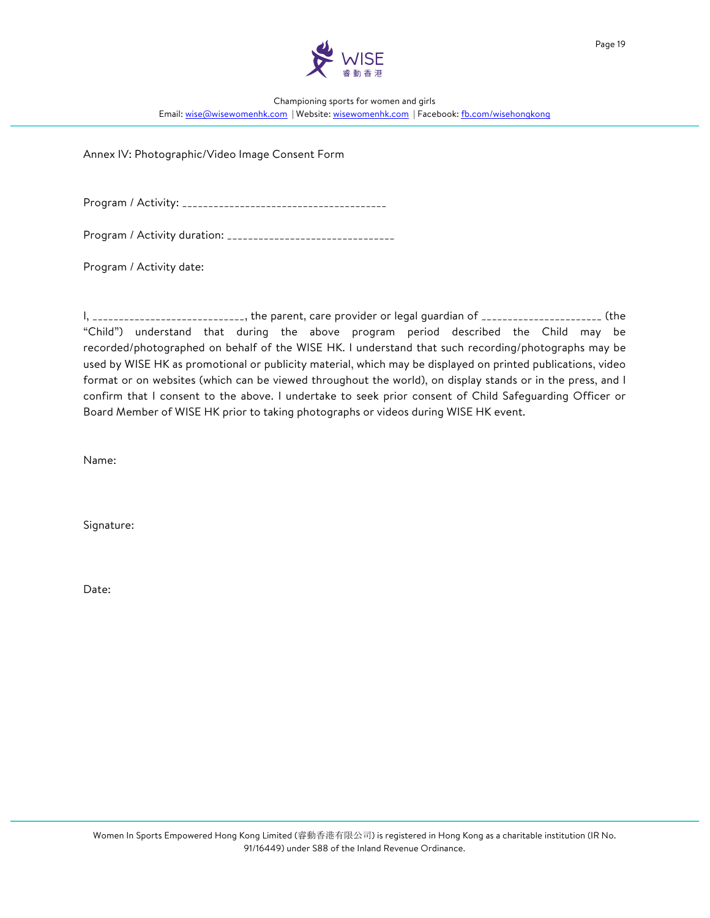

Annex IV: Photographic/Video Image Consent Form

Program / Activity: \_\_\_\_\_\_\_\_\_\_\_\_\_\_\_\_\_\_\_\_\_\_\_\_\_\_\_\_\_\_\_\_\_\_\_\_\_\_\_

Program / Activity duration: \_\_\_\_\_\_\_\_\_\_\_\_\_\_\_\_\_\_\_\_\_\_\_\_\_\_\_\_\_\_\_\_

Program / Activity date:

I, \_\_\_\_\_\_\_\_\_\_\_\_\_\_\_\_\_\_\_\_\_\_\_\_\_\_\_\_, the parent, care provider or legal guardian of \_\_\_\_\_\_\_\_\_\_\_\_\_\_\_\_\_\_\_\_\_\_\_\_\_\_\_ (the "Child") understand that during the above program period described the Child may be recorded/photographed on behalf of the WISE HK. I understand that such recording/photographs may be used by WISE HK as promotional or publicity material, which may be displayed on printed publications, video format or on websites (which can be viewed throughout the world), on display stands or in the press, and I confirm that I consent to the above. I undertake to seek prior consent of Child Safeguarding Officer or Board Member of WISE HK prior to taking photographs or videos during WISE HK event.

Name:

Signature:

Date: